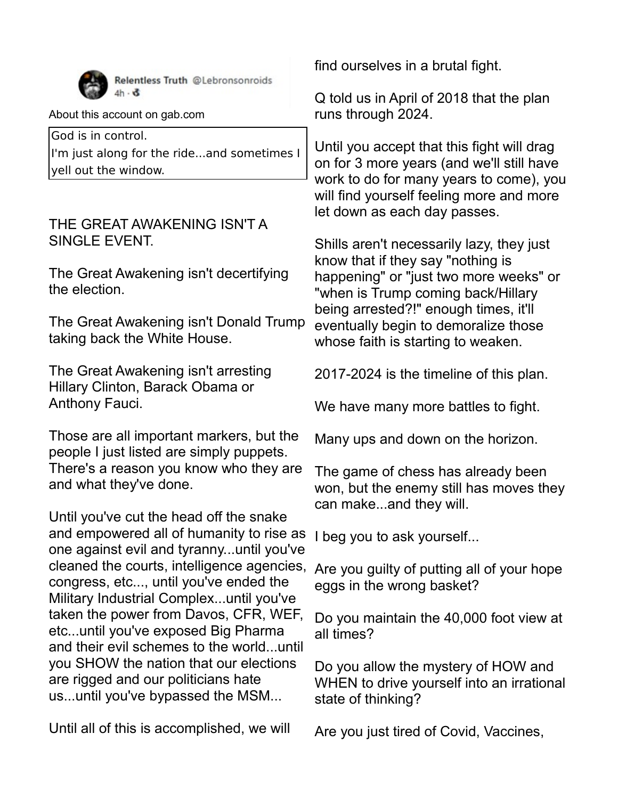

Relentless Truth @Lebronsonroids  $4h \cdot \delta$ 

About this account on gab.com

God is in control. I'm just along for the ride...and sometimes I yell out the window.

## THE GREAT AWAKENING ISN'T A SINGLE EVENT.

The Great Awakening isn't decertifying the election.

The Great Awakening isn't Donald Trump taking back the White House.

The Great Awakening isn't arresting Hillary Clinton, Barack Obama or Anthony Fauci.

Those are all important markers, but the people I just listed are simply puppets. There's a reason you know who they are and what they've done.

Until you've cut the head off the snake and empowered all of humanity to rise as one against evil and tyranny...until you've cleaned the courts, intelligence agencies, Are you guilty of putting all of your hope congress, etc..., until you've ended the Military Industrial Complex...until you've taken the power from Davos, CFR, WEF, etc...until you've exposed Big Pharma and their evil schemes to the world...until you SHOW the nation that our elections are rigged and our politicians hate us...until you've bypassed the MSM...

Until all of this is accomplished, we will

find ourselves in a brutal fight.

Q told us in April of 2018 that the plan runs through 2024.

Until you accept that this fight will drag on for 3 more years (and we'll still have work to do for many years to come), you will find yourself feeling more and more let down as each day passes.

Shills aren't necessarily lazy, they just know that if they say "nothing is happening" or "just two more weeks" or "when is Trump coming back/Hillary being arrested?!" enough times, it'll eventually begin to demoralize those whose faith is starting to weaken.

2017-2024 is the timeline of this plan.

We have many more battles to fight.

Many ups and down on the horizon.

The game of chess has already been won, but the enemy still has moves they can make...and they will.

I beg you to ask yourself...

eggs in the wrong basket?

Do you maintain the 40,000 foot view at all times?

Do you allow the mystery of HOW and WHEN to drive yourself into an irrational state of thinking?

Are you just tired of Covid, Vaccines,